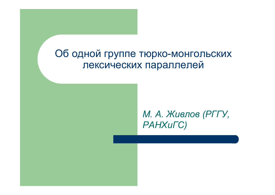# Об одной группе тюрко-монгольских лексических параллелей

*М. А. Живлов (РГГУ, РАНХиГС)*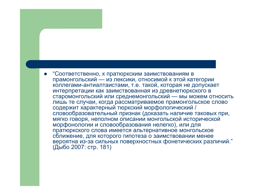"Соответственно, к пратюркским заимствованиям в прамонгольский — из лексики, относимой к этой категории коллегами-антиалтаистами, т.е. такой, которая не допускает интерпретации как заимствованная из древнетюркского в старомонгольский или среднемонгольский — мы можем относить лишь те случаи, когда рассматриваемое прамонгольское слово содержит характерный тюркский морфологический / словообразовательный признак (доказать наличие таковых при, мягко говоря, неполном описании монгольской исторической морфонологии и словообразования нелегко), или для пратюркского слова имеется альтернативное монгольское сближение, для которого гипотеза о заимствовании менее вероятна из-за сильных поверхностных фонетических различий." (Дыбо 2007: стр. 181)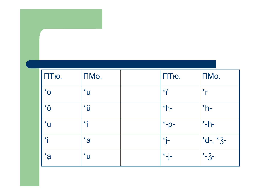| ПТю.                  | ПМо.                 | ПТю.                   | ПМо.       |
|-----------------------|----------------------|------------------------|------------|
| $*_{\mathsf{O}}$      | $*_{U}$              | $*$ $\epsilon$         | $*_{r}$    |
| $\overline{O}^*$      | *ü                   | $*h-$                  | $*h-$      |
| $*_{U}$               | $\star$              | $+ * - p -$            | $*$ -h-    |
| $\star$               | $*a$                 | $*_{\vert}$            | $*d-, *3-$ |
| $\ddot{\mathbf{s}}^*$ | $\mathsf{U}^{\star}$ | $\star$ <sub>-j-</sub> | $-3-$      |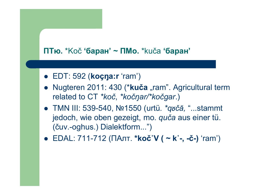## **ПТю.** \*Koč **'баран' ~ ПМо.** \*kuča **'баран'**

- EDT: 592 (**koçŋa:r** 'ram')
- Nugteren 2011: 430 (\*kuča "ram". Agricultural term related to CT *\*koč*, *\*kočŋar/\*kočgar*.)
- TMN III: 539-540, Nº1550 (urtü. *\*qočă, "...*stammt jedoch, wie oben gezeigt, mo. *quča* aus einer tü. (čuv.-oghus.) Dialektform...")
- **EDAL: 711-712 (ПАлт. \*koč`V ( ~ k˙-, -č-) 'ram')**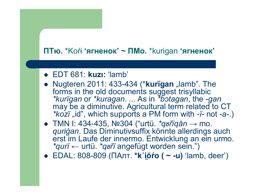# ПТю. \*Ко́г 'ягненок' ~ ПМо. \*kurigan 'ягненок'

- EDT 681: kuzı: 'lamb'
- Nugteren 2011: 433-434 (\*kurigan "lamb". The forms in the old documents suggest trisyllabic \*kurigan or \*kuragan. ... As in \*b̃otagan, the -gan may be a diminutive. Agricultural term related to CT *\*kozï* "id", which supports a PM form with -*ï*- not -a-.)
- TMN I: 434-435, Nº304 ("urtü. \*grigăn  $\rightarrow$  mo. *qurigan.* Das Diminutivsuffix könnte allerdings auch erst im Laufe der innermo. Entwicklung an ein urmo. \*qurï ← urtü. \*qurï angefügt worden sein.")
- EDAL: 808-809 (ПАлт. \*k ióro (  $\sim$  -u) 'lamb, deer')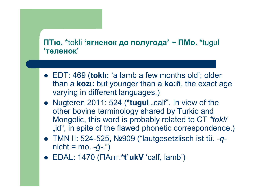# ПТю. \*tokli 'ягненок до полугода' ~ ПМо. \*tugul **'теленок'**

- EDT: 469 (tokli: 'a lamb a few months old'; older than a **kozi:** but younger than a **ko:** net the exact age varying in different languages.)
- Nugteren 2011: 524 (\*tugul "calf". In view of the other bovine terminology shared by Turkic and Mongolic, this word is probably related to CT \*tokli "id", in spite of the flawed phonetic correspondence.)
- TMN II: 524-525, Nº909 ("lautgesetzlisch ist tü. - $q$  $nicht = mo. -g-.")$
- $\bullet$  EDAL: 1470 ( $\Box$ Алт.\*t'ukV 'calf, lamb')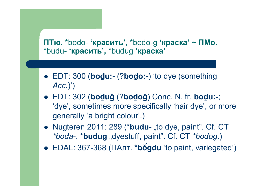# ПТю. \*bodo- 'красить', \*bodo-g 'краска' ~ ПМо. \*budu- 'красить', \*budug 'краска'

- EDT: 300 (**boḏu:-** (?**boḏo:-**) 'to dye (something *Acc.*)')
- EDT: 302 (**boḏuğ** (?**boḏoğ**) Conc. N. fr. **boḏu:-**; 'dye', sometimes more specifically 'hair dye', or more generally 'a bright colour'.)
- Nugteren 2011: 289 (\***budu-** "to dye, paint". Cf. CT *\*boda*-. \***budug** "dyestuff, paint". Cf. CT *\*bodog*.)
- EDAL: 367-368 (ПАлт. **\*bŏ́gdu** 'to paint, variegated')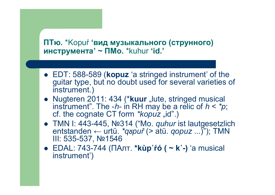## ПТю. \*Кориѓ 'вид музыкального (струнного) инструмента' ~ ПМо. \*kuhur 'id.'

- EDT: 588-589 (kopuz 'a stringed instrument' of the guitar type, but no doubt used for several varieties of instrument.)
- Nugteren 2011: 434 (\*kuur "lute, stringed musical instrument". The -h- in RH may be a relic of  $h < *p$ ; cf. the cognate CT form \*kopuz "id".)
- TMN I: 443-445, Nº314 ("Mo. *quhur* ist lautgesetzlich entstanden ← urtü. \*qupuř (> atü. qopuz ...)"); TMN III: 535-537, Nº1546
- EDAL: 743-744 (ПАлт. \*kùp'ŕo ( ~ k'-) 'a musical instrument')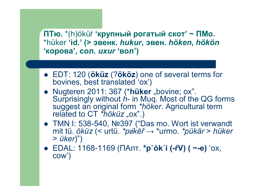ПТю. \*(h)öküŕ 'крупный рогатый скот' ~ ПМо. \*hüker 'id.' (> эвенк. hukur, эвен. höken, hökön 'корова', сол. *uxur* 'вол')

- EDT: 120 (öküz (?ököz) one of several terms for bovines, best translated 'ox')
- Nugteren 2011: 367 (\*hüker "bovine; ox". Surprisingly without  $\hat{h}$ - in Muq. Most of the QG forms suggest an original form \*höker. Agricultural term related to CT \*höküz "ox".)
- TMN I: 538-540, Nº397 ("Das mo. Wort ist verwandt mit tü. öküz (< urtü. \*pökĕř  $\rightarrow$  \*urmo. \*pükär > hüker  $>$   $\ddot{u}$ ker $)$ ")
- EDAL: 1168-1169 (ПАлт. \*p`ŏk`i (-ŕV) ( ~-e) 'ox,  $com$ )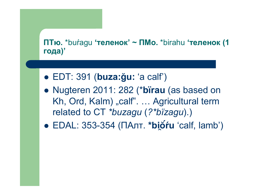# ПТю. \*buŕagu 'теленок' ~ ПМо. \*birahu 'теленок (1 года)'

- $\bullet$  EDT: 391 (buza:gu: 'a calf')
- Nugteren 2011: 282 (\*birau (as based on Kh, Ord, Kalm) "calf". ... Agricultural term related to CT \*buzagu (?\*bïzagu).)
- EDAL: 353-354 (ПАлт. \*bióru 'calf, lamb')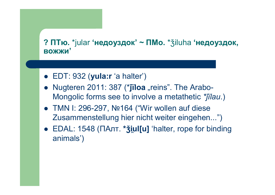# ? ПТю. \*jular 'недоуздок' ~ ПМо. \* $\check{\mathfrak{Z}}$ iluha 'недоуздок, **ВОЖЖИ'**

- $\bullet$  EDT: 932 (yula:r 'a halter')
- Nugteren 2011: 387 (\*jiloa "reins". The Arabo-Mongolic forms see to involve a metathetic \*jilau.)
- TMN I: 296-297, Notal ("Wir wollen auf diese Zusammenstellung hier nicht weiter eingehen...")
- EDAL: 1548 (ПАлт. \* jul[u] 'halter, rope for binding animals')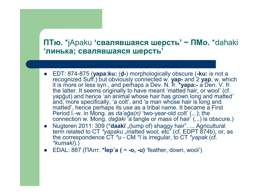#### ПТю. \*jApaku 'свалявшаяся шерсть' ~ ПМо. \*dahaki 'линька; свалявшаяся шерсть'

- EDT: 874-875 (yapa:ku: (d -) morphologically obscure (-ku: is not a recognized Suff.) but obviously connected w. yap- and 2 yap, w. which it is more or less syn., and perhaps a Dev. N. fr. \***yapa:-** a Den. V. fr. the latter. It seems originally to have meant 'matted hair, or wool' (cf. yapgut) and hence 'an animal whose hair has grown long and matted' and, more specifically, 'a colt', and 'a man whose hair is long and matted', hence perhaps its use as a tribal name. It became a First Period I.-w. in Mong. as  $da' a\breve{g}a(n)$  'two-year-old colt' (...); the connection w. Mong. dağaki a tangle or mass of hair' (...) is obscure.)
- Nugteren 2011: 309 (\*daakï "(lump of) shaggy hair". ... Agricultural term related to CT \*yapaku "matted wool, etc" (cf. EDPT 874b), or, as the correspondence  $CT *u - CM *r$  is irregular, to  $CT *yapak$  (cf. *\*kumaki*).)
- EDAL: 887 (ПАлт. \*lep'a (  $\sim$  -o, -u) 'feather, down, wool')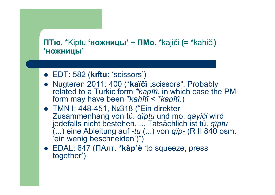# **ПТю.** \*Kɨptu **'ножницы' ~ ПМо.** \*kajiči **(=** \*kahiči**) 'ножницы'**

- EDT: 582 (**kıftu:** 'scissors')
- Nugteren 2011: 400 (\*kaïčï "scissors". Probably related to a Turkic form *\*kapïtï*, in which case the PM form may have been *\*kahïtï* < *\*kapïtï*.)
- TMN I: 448-451, №318 ("Ein direkter Zusammenhang von tü. *qïptu* und mo. *qayiči* wird jedefalls nicht bestehen. ... Tatsächlich ist tü. *qïptu* (...) eine Ableitung auf *-tu* (...) von *qïp-* (R II 840 osm. 'ein wenig beschneiden')")
- EDAL: 647 (ПАлт. **\*kǎp** `è 'to squeeze, press together')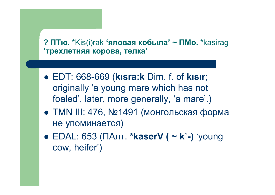# ? ПТю. \*Kis(i)rak 'яловая кобыла' ~ ПМо. \*kasirag 'трехлетняя корова, телка'

- EDT: 668-669 (kisra:k Dim. f. of kisir; originally 'a young mare which has not foaled', later, more generally, 'a mare'.)
- TMN III: 476, №1491 (монгольская форма не упоминается)
- EDAL: 653 (ПАлт. \*kaserV ( ~ k'-) 'young cow, heifer')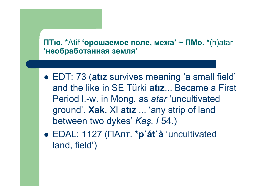## ПТю. \*Atif 'орошаемое поле, межа' ~ ПМо. \*(h)atar 'необработанная земля'

- EDT: 73 (atiz survives meaning 'a small field' and the like in SE Türki atiz... Became a First Period I.-w. in Mong. as atar 'uncultivated ground'. Xak. XI atiz ... 'any strip of land between two dykes' Kas. I 54.)
- EDAL: 1127 (ПАлт. \*p'át'à 'uncultivated land, field')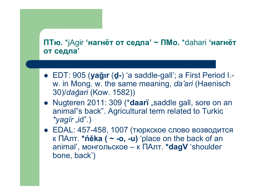# **ПТю.** \*jAgɨr **'нагнёт от седла' ~ ПМо.** \*dahari **'нагнёт от седла'**

- EDT: 905 (**yağır** (**ḏ-**) 'a saddle-gall'; a First Period l. w. in Mong. w. the same meaning, *da'ari* (Haenisch 30)/*dağari* (Kow. 1582))
- Nugteren 2011: 309 (\*daari "saddle gall, sore on an animal"s back". Agricultural term related to Turkic *\*yagïr* "id".)
- EDAL: 457-458, 1007 (тюркское слово возводится к ПАлт. **\*ńĕka ( ~ -o, -u)** 'place on the back of an animal' , монгольское – к ПАлт. **\*dagV** 'shoulder bone, back')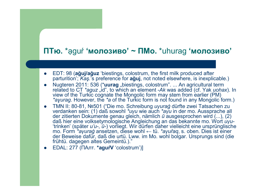## **ПТю.** \*ạguŕ **'молозиво' ~ ПМо.** \*uhurag **'молозиво'**

- EDT: 98 (**ağuj/ağuz** 'biestings, colostrum, the first milk produced after parturition'; *Kaş.*'s preference for **ağuj**, not noted elsewhere, is inexplicable.)
- Nugteren 2011: 536 (\*uurag "biestings, colostrum". ... An agricultural term related to CT *\*aguz* "id", to which an element -Ak was added (cf. Yak *uohax*). In view of the Turkic cognate the Mongolic form may stem from earlier (PM) *\*aɣurag*. However, the *\*a* of the Turkic form is not found in any Mongolic form.)
- TMN II: 80-81, №501 ("Die mo. Schreibung *uγuraġ* dürfte zwei Tatsachen zu verdanken sein: (1) daß sowohl *\*uγu* wie auch *\*aγu* in der mo. Aussprache all der zitierten Dokumente genau gleich, nämlich *ū* ausgesprochen wird (...), (2) daß hier eine volksetymologische Angleichung an das bekannte mo. Wort *uγu-* 'trinken' (später *u'u-*, *ū-*) vorliegt. Wir dürfen daher vielleicht eine ursprünglische mo. Form *\*aγuraġ* ansetzen, diese wohl ← tü. *\*aγuřaq*, s. oben. Dies ist einer der Beweise dafür, daß die urtü. Lww. im Mo. wohl bolgar. Ursprungs sind (die frühtü. dagegen altes Gemeintü.)."
- EDAL: 277 (ПАлт. **\*aguŕV** 'colostrum')]